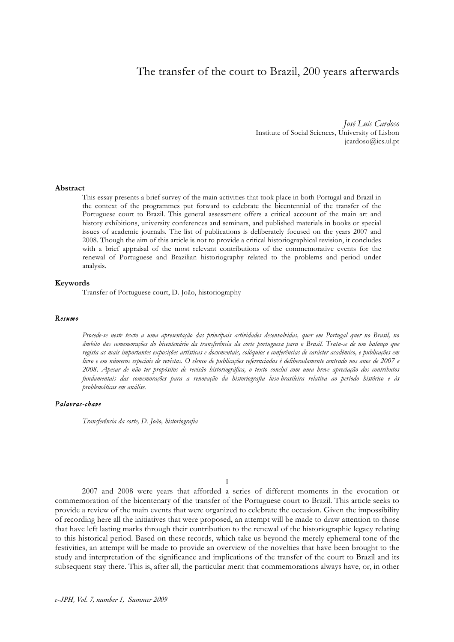# The transfer of the court to Brazil, 200 years afterwards

*José Luís Cardoso*  Institute of Social Sciences, University of Lisbon jcardoso@ics.ul.pt

#### **Abstract**

This essay presents a brief survey of the main activities that took place in both Portugal and Brazil in the context of the programmes put forward to celebrate the bicentennial of the transfer of the Portuguese court to Brazil. This general assessment offers a critical account of the main art and history exhibitions, university conferences and seminars, and published materials in books or special issues of academic journals. The list of publications is deliberately focused on the years 2007 and 2008. Though the aim of this article is not to provide a critical historiographical revision, it concludes with a brief appraisal of the most relevant contributions of the commemorative events for the renewal of Portuguese and Brazilian historiography related to the problems and period under analysis.

## **Keywords**

Transfer of Portuguese court, D. João, historiography

#### *Resumo*

*Procede-se neste texto a uma apresentação das principais actividades desenvolvidas, quer em Portugal quer no Brasil, no âmbito das comemorações do bicentenário da transferência da corte portuguesa para o Brasil. Trata-se de um balanço que regista as mais importantes exposições artísticas e documentais, colóquios e conferências de carácter académico, e publicações em livro e em números especiais de revistas. O elenco de publicações referenciadas é deliberadamente centrado nos anos de 2007 e 2008. Apesar de não ter propósitos de revisão historiográfica, o texto conclui com uma breve apreciação dos contributos fundamentais das comemorações para a renovação da historiografia luso-brasileira relativa ao período histórico e às problemáticas em análise.*

# *Palavras-chave*

*Transferência da corte, D. João, historiografia*

I

2007 and 2008 were years that afforded a series of different moments in the evocation or commemoration of the bicentenary of the transfer of the Portuguese court to Brazil. This article seeks to provide a review of the main events that were organized to celebrate the occasion. Given the impossibility of recording here all the initiatives that were proposed, an attempt will be made to draw attention to those that have left lasting marks through their contribution to the renewal of the historiographic legacy relating to this historical period. Based on these records, which take us beyond the merely ephemeral tone of the festivities, an attempt will be made to provide an overview of the novelties that have been brought to the study and interpretation of the significance and implications of the transfer of the court to Brazil and its subsequent stay there. This is, after all, the particular merit that commemorations always have, or, in other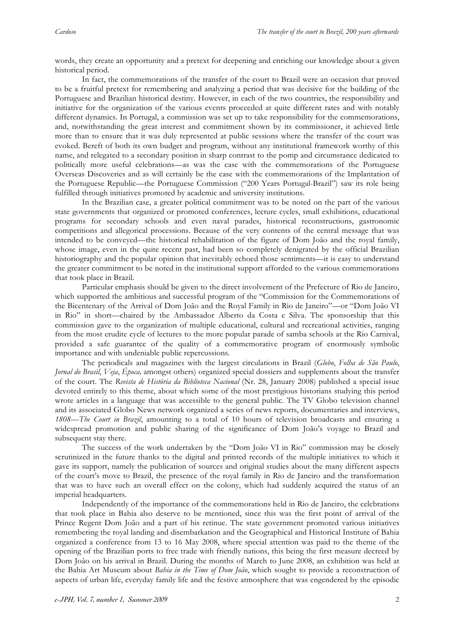words, they create an opportunity and a pretext for deepening and enriching our knowledge about a given historical period.

In fact, the commemorations of the transfer of the court to Brazil were an occasion that proved to be a fruitful pretext for remembering and analyzing a period that was decisive for the building of the Portuguese and Brazilian historical destiny. However, in each of the two countries, the responsibility and initiative for the organization of the various events proceeded at quite different rates and with notably different dynamics. In Portugal, a commission was set up to take responsibility for the commemorations, and, notwithstanding the great interest and commitment shown by its commissioner, it achieved little more than to ensure that it was duly represented at public sessions where the transfer of the court was evoked. Bereft of both its own budget and program, without any institutional framework worthy of this name, and relegated to a secondary position in sharp contrast to the pomp and circumstance dedicated to politically more useful celebrations—as was the case with the commemorations of the Portuguese Overseas Discoveries and as will certainly be the case with the commemorations of the Implantation of the Portuguese Republic—the Portuguese Commission ("200 Years Portugal-Brazil") saw its role being fulfilled through initiatives promoted by academic and university institutions.

In the Brazilian case, a greater political commitment was to be noted on the part of the various state governments that organized or promoted conferences, lecture cycles, small exhibitions, educational programs for secondary schools and even naval parades, historical reconstructions, gastronomic competitions and allegorical processions. Because of the very contents of the central message that was intended to be conveyed—the historical rehabilitation of the figure of Dom João and the royal family, whose image, even in the quite recent past, had been so completely denigrated by the official Brazilian historiography and the popular opinion that inevitably echoed those sentiments—it is easy to understand the greater commitment to be noted in the institutional support afforded to the various commemorations that took place in Brazil.

Particular emphasis should be given to the direct involvement of the Prefecture of Rio de Janeiro, which supported the ambitious and successful program of the "Commission for the Commemorations of the Bicentenary of the Arrival of Dom João and the Royal Family in Rio de Janeiro"—or "Dom João VI in Rio" in short—chaired by the Ambassador Alberto da Costa e Silva. The sponsorship that this commission gave to the organization of multiple educational, cultural and recreational activities, ranging from the most erudite cycle of lectures to the more popular parade of samba schools at the Rio Carnival, provided a safe guarantee of the quality of a commemorative program of enormously symbolic importance and with undeniable public repercussions.

The periodicals and magazines with the largest circulations in Brazil (*Globo*, *Folha de São Paulo*, *Jornal do Brasil*, *Veja*, *Época,* amongst others) organized special dossiers and supplements about the transfer of the court. The *Revista de História da Biblioteca Nacional* (Nr. 28, January 2008) published a special issue devoted entirely to this theme, about which some of the most prestigious historians studying this period wrote articles in a language that was accessible to the general public. The TV Globo television channel and its associated Globo News network organized a series of news reports, documentaries and interviews, *1808—The Court in Brazil*, amounting to a total of 10 hours of television broadcasts and ensuring a widespread promotion and public sharing of the significance of Dom João's voyage to Brazil and subsequent stay there.

The success of the work undertaken by the "Dom João VI in Rio" commission may be closely scrutinized in the future thanks to the digital and printed records of the multiple initiatives to which it gave its support, namely the publication of sources and original studies about the many different aspects of the court's move to Brazil, the presence of the royal family in Rio de Janeiro and the transformation that was to have such an overall effect on the colony, which had suddenly acquired the status of an imperial headquarters.

Independently of the importance of the commemorations held in Rio de Janeiro, the celebrations that took place in Bahia also deserve to be mentioned, since this was the first point of arrival of the Prince Regent Dom João and a part of his retinue. The state government promoted various initiatives remembering the royal landing and disembarkation and the Geographical and Historical Institute of Bahia organized a conference from 13 to 16 May 2008, where special attention was paid to the theme of the opening of the Brazilian ports to free trade with friendly nations, this being the first measure decreed by Dom João on his arrival in Brazil. During the months of March to June 2008, an exhibition was held at the Bahia Art Museum about *Bahia in the Time of Dom João*, which sought to provide a reconstruction of aspects of urban life, everyday family life and the festive atmosphere that was engendered by the episodic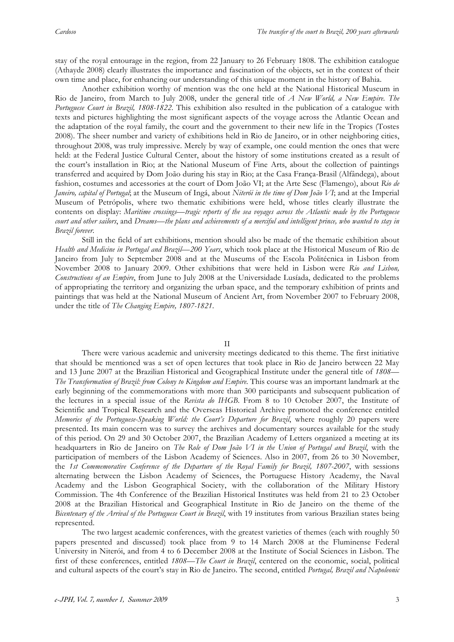stay of the royal entourage in the region, from 22 January to 26 February 1808. The exhibition catalogue (Athayde 2008) clearly illustrates the importance and fascination of the objects, set in the context of their own time and place, for enhancing our understanding of this unique moment in the history of Bahia.

Another exhibition worthy of mention was the one held at the National Historical Museum in Rio de Janeiro, from March to July 2008, under the general title of *A New World, a New Empire. The Portuguese Court in Brazil, 1808-1822*. This exhibition also resulted in the publication of a catalogue with texts and pictures highlighting the most significant aspects of the voyage across the Atlantic Ocean and the adaptation of the royal family, the court and the government to their new life in the Tropics (Tostes 2008). The sheer number and variety of exhibitions held in Rio de Janeiro, or in other neighboring cities, throughout 2008, was truly impressive. Merely by way of example, one could mention the ones that were held: at the Federal Justice Cultural Center, about the history of some institutions created as a result of the court's installation in Rio; at the National Museum of Fine Arts, about the collection of paintings transferred and acquired by Dom João during his stay in Rio; at the Casa França-Brasil (Alfândega), about fashion, costumes and accessories at the court of Dom João VI; at the Arte Sesc (Flamengo), about *Rio de Janeiro, capital of Portugal*; at the Museum of Ingá, about *Niterói in the time of Dom João VI*; and at the Imperial Museum of Petrópolis, where two thematic exhibitions were held, whose titles clearly illustrate the contents on display: *Maritime crossings—tragic reports of the sea voyages across the Atlantic made by the Portuguese court and other sailors*, and *Dreams—the plans and achievements of a merciful and intelligent prince, who wanted to stay in Brazil forever*.

Still in the field of art exhibitions, mention should also be made of the thematic exhibition about *Health and Medicine in Portugal and Brazil—200 Years*, which took place at the Historical Museum of Rio de Janeiro from July to September 2008 and at the Museums of the Escola Politécnica in Lisbon from November 2008 to January 2009. Other exhibitions that were held in Lisbon were *Rio and Lisbon, Constructions of an Empire*, from June to July 2008 at the Universidade Lusíada, dedicated to the problems of appropriating the territory and organizing the urban space, and the temporary exhibition of prints and paintings that was held at the National Museum of Ancient Art, from November 2007 to February 2008, under the title of *The Changing Empire, 1807-1821*.

#### II

There were various academic and university meetings dedicated to this theme. The first initiative that should be mentioned was a set of open lectures that took place in Rio de Janeiro between 22 May and 13 June 2007 at the Brazilian Historical and Geographical Institute under the general title of *1808— The Transformation of Brazil: from Colony to Kingdom and Empire*. This course was an important landmark at the early beginning of the commemorations with more than 300 participants and subsequent publication of the lectures in a special issue of the *Revista do IHGB*. From 8 to 10 October 2007, the Institute of Scientific and Tropical Research and the Overseas Historical Archive promoted the conference entitled *Memories of the Portuguese-Speaking World: the Court's Departure for Brazil*, where roughly 20 papers were presented. Its main concern was to survey the archives and documentary sources available for the study of this period. On 29 and 30 October 2007, the Brazilian Academy of Letters organized a meeting at its headquarters in Rio de Janeiro on *The Role of Dom João VI in the Union of Portugal and Brazil*, with the participation of members of the Lisbon Academy of Sciences. Also in 2007, from 26 to 30 November, the *1st Commemorative Conference of the Departure of the Royal Family for Brazil, 1807-2007*, with sessions alternating between the Lisbon Academy of Sciences, the Portuguese History Academy, the Naval Academy and the Lisbon Geographical Society, with the collaboration of the Military History Commission. The 4th Conference of the Brazilian Historical Institutes was held from 21 to 23 October 2008 at the Brazilian Historical and Geographical Institute in Rio de Janeiro on the theme of the *Bicentenary of the Arrival of the Portuguese Court in Brazil*, with 19 institutes from various Brazilian states being represented.

The two largest academic conferences, with the greatest varieties of themes (each with roughly 50 papers presented and discussed) took place from 9 to 14 March 2008 at the Fluminense Federal University in Niterói, and from 4 to 6 December 2008 at the Institute of Social Sciences in Lisbon. The first of these conferences, entitled *1808—The Court in Brazil*, centered on the economic, social, political and cultural aspects of the court's stay in Rio de Janeiro. The second, entitled *Portugal, Brazil and Napoleonic*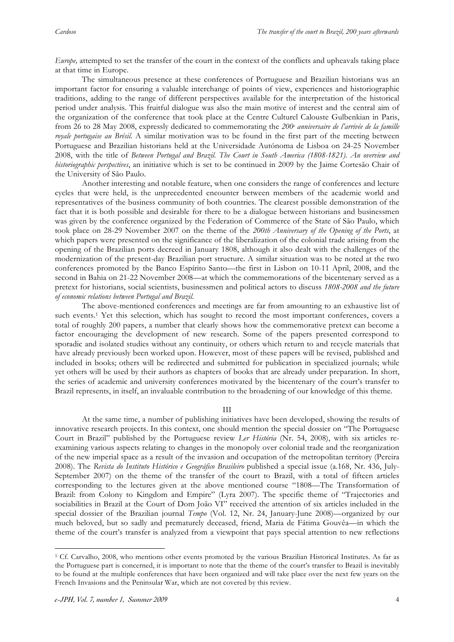*Europe*, attempted to set the transfer of the court in the context of the conflicts and upheavals taking place at that time in Europe.

The simultaneous presence at these conferences of Portuguese and Brazilian historians was an important factor for ensuring a valuable interchange of points of view, experiences and historiographic traditions, adding to the range of different perspectives available for the interpretation of the historical period under analysis. This fruitful dialogue was also the main motive of interest and the central aim of the organization of the conference that took place at the Centre Culturel Calouste Gulbenkian in Paris, from 26 to 28 May 2008, expressly dedicated to commemorating the 200<sup>e</sup> anniversaire de l'arrivée de la famille *royale portugaise au Brésil*. A similar motivation was to be found in the first part of the meeting between Portuguese and Brazilian historians held at the Universidade Autónoma de Lisboa on 24-25 November 2008, with the title of *Between Portugal and Brazil. The Court in South America (1808-1821). An overview and historiographic perspectives*, an initiative which is set to be continued in 2009 by the Jaime Cortesão Chair of the University of São Paulo.

Another interesting and notable feature, when one considers the range of conferences and lecture cycles that were held, is the unprecedented encounter between members of the academic world and representatives of the business community of both countries. The clearest possible demonstration of the fact that it is both possible and desirable for there to be a dialogue between historians and businessmen was given by the conference organized by the Federation of Commerce of the State of São Paulo, which took place on 28-29 November 2007 on the theme of the *200th Anniversary of the Opening of the Ports*, at which papers were presented on the significance of the liberalization of the colonial trade arising from the opening of the Brazilian ports decreed in January 1808, although it also dealt with the challenges of the modernization of the present-day Brazilian port structure. A similar situation was to be noted at the two conferences promoted by the Banco Espírito Santo—the first in Lisbon on 10-11 April, 2008, and the second in Bahia on 21-22 November 2008—at which the commemorations of the bicentenary served as a pretext for historians, social scientists, businessmen and political actors to discuss *1808-2008 and the future of economic relations between Portugal and Brazil*.

The above-mentioned conferences and meetings are far from amounting to an exhaustive list of such events.<sup>1</sup> Yet this selection, which has sought to record the most important conferences, covers a total of roughly 200 papers, a number that clearly shows how the commemorative pretext can become a factor encouraging the development of new research. Some of the papers presented correspond to sporadic and isolated studies without any continuity, or others which return to and recycle materials that have already previously been worked upon. However, most of these papers will be revised, published and included in books; others will be redirected and submitted for publication in specialized journals; while yet others will be used by their authors as chapters of books that are already under preparation. In short, the series of academic and university conferences motivated by the bicentenary of the court's transfer to Brazil represents, in itself, an invaluable contribution to the broadening of our knowledge of this theme.

III

At the same time, a number of publishing initiatives have been developed, showing the results of innovative research projects. In this context, one should mention the special dossier on "The Portuguese Court in Brazil" published by the Portuguese review *Ler História* (Nr. 54, 2008), with six articles reexamining various aspects relating to changes in the monopoly over colonial trade and the reorganization of the new imperial space as a result of the invasion and occupation of the metropolitan territory (Pereira 2008). The *Revista do Instituto Histórico e Geográfico Brasileiro* published a special issue (a.168, Nr. 436, July-September 2007) on the theme of the transfer of the court to Brazil, with a total of fifteen articles corresponding to the lectures given at the above mentioned course "1808—The Transformation of Brazil: from Colony to Kingdom and Empire" (Lyra 2007). The specific theme of "Trajectories and sociabilities in Brazil at the Court of Dom João VI" received the attention of six articles included in the special dossier of the Brazilian journal *Tempo* (Vol. 12, Nr. 24, January-June 2008)—organized by our much beloved, but so sadly and prematurely deceased, friend, Maria de Fátima Gouvêa—in which the theme of the court's transfer is analyzed from a viewpoint that pays special attention to new reflections

 $\overline{a}$ 

<sup>1</sup> Cf. Carvalho, 2008, who mentions other events promoted by the various Brazilian Historical Institutes. As far as the Portuguese part is concerned, it is important to note that the theme of the court's transfer to Brazil is inevitably to be found at the multiple conferences that have been organized and will take place over the next few years on the French Invasions and the Peninsular War, which are not covered by this review.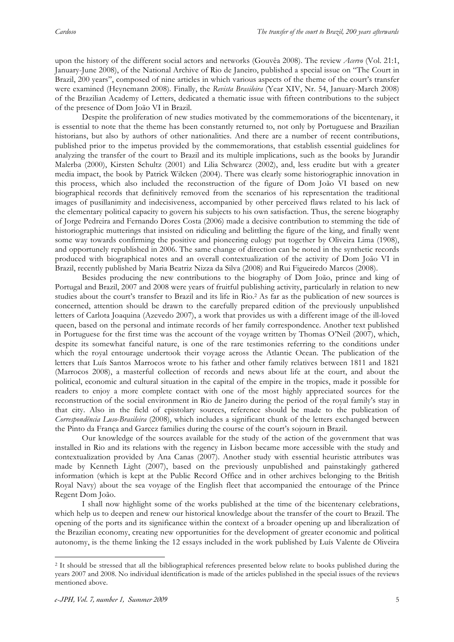upon the history of the different social actors and networks (Gouvêa 2008). The review *Acervo* (Vol. 21:1, January-June 2008), of the National Archive of Rio de Janeiro, published a special issue on "The Court in Brazil, 200 years", composed of nine articles in which various aspects of the theme of the court's transfer were examined (Heynemann 2008). Finally, the *Revista Brasileira* (Year XIV, Nr. 54, January-March 2008) of the Brazilian Academy of Letters, dedicated a thematic issue with fifteen contributions to the subject of the presence of Dom João VI in Brazil.

Despite the proliferation of new studies motivated by the commemorations of the bicentenary, it is essential to note that the theme has been constantly returned to, not only by Portuguese and Brazilian historians, but also by authors of other nationalities. And there are a number of recent contributions, published prior to the impetus provided by the commemorations, that establish essential guidelines for analyzing the transfer of the court to Brazil and its multiple implications, such as the books by Jurandir Malerba (2000), Kirsten Schultz (2001) and Lilia Schwarcz (2002), and, less erudite but with a greater media impact, the book by Patrick Wilcken (2004). There was clearly some historiographic innovation in this process, which also included the reconstruction of the figure of Dom João VI based on new biographical records that definitively removed from the scenarios of his representation the traditional images of pusillanimity and indecisiveness, accompanied by other perceived flaws related to his lack of the elementary political capacity to govern his subjects to his own satisfaction. Thus, the serene biography of Jorge Pedreira and Fernando Dores Costa (2006) made a decisive contribution to stemming the tide of historiographic mutterings that insisted on ridiculing and belittling the figure of the king, and finally went some way towards confirming the positive and pioneering eulogy put together by Oliveira Lima (1908), and opportunely republished in 2006. The same change of direction can be noted in the synthetic records produced with biographical notes and an overall contextualization of the activity of Dom João VI in Brazil, recently published by Maria Beatriz Nizza da Silva (2008) and Rui Figueiredo Marcos (2008).

Besides producing the new contributions to the biography of Dom João, prince and king of Portugal and Brazil, 2007 and 2008 were years of fruitful publishing activity, particularly in relation to new studies about the court's transfer to Brazil and its life in Rio.2 As far as the publication of new sources is concerned, attention should be drawn to the carefully prepared edition of the previously unpublished letters of Carlota Joaquina (Azevedo 2007), a work that provides us with a different image of the ill-loved queen, based on the personal and intimate records of her family correspondence. Another text published in Portuguese for the first time was the account of the voyage written by Thomas O'Neil (2007), which, despite its somewhat fanciful nature, is one of the rare testimonies referring to the conditions under which the royal entourage undertook their voyage across the Atlantic Ocean. The publication of the letters that Luís Santos Marrocos wrote to his father and other family relatives between 1811 and 1821 (Marrocos 2008), a masterful collection of records and news about life at the court, and about the political, economic and cultural situation in the capital of the empire in the tropics, made it possible for readers to enjoy a more complete contact with one of the most highly appreciated sources for the reconstruction of the social environment in Rio de Janeiro during the period of the royal family's stay in that city. Also in the field of epistolary sources, reference should be made to the publication of *Correspondência Luso-Brasileira* (2008), which includes a significant chunk of the letters exchanged between the Pinto da França and Garcez families during the course of the court's sojourn in Brazil.

Our knowledge of the sources available for the study of the action of the government that was installed in Rio and its relations with the regency in Lisbon became more accessible with the study and contextualization provided by Ana Canas (2007). Another study with essential heuristic attributes was made by Kenneth Light (2007), based on the previously unpublished and painstakingly gathered information (which is kept at the Public Record Office and in other archives belonging to the British Royal Navy) about the sea voyage of the English fleet that accompanied the entourage of the Prince Regent Dom João.

I shall now highlight some of the works published at the time of the bicentenary celebrations, which help us to deepen and renew our historical knowledge about the transfer of the court to Brazil. The opening of the ports and its significance within the context of a broader opening up and liberalization of the Brazilian economy, creating new opportunities for the development of greater economic and political autonomy, is the theme linking the 12 essays included in the work published by Luís Valente de Oliveira

 $\overline{a}$ 

<sup>&</sup>lt;sup>2</sup> It should be stressed that all the bibliographical references presented below relate to books published during the years 2007 and 2008. No individual identification is made of the articles published in the special issues of the reviews mentioned above.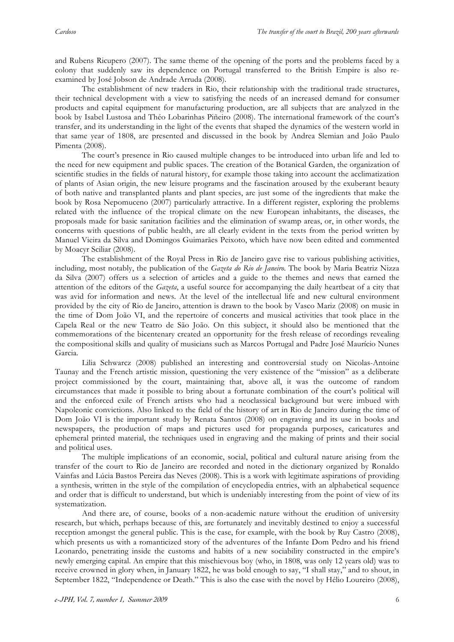and Rubens Ricupero (2007). The same theme of the opening of the ports and the problems faced by a colony that suddenly saw its dependence on Portugal transferred to the British Empire is also reexamined by José Jobson de Andrade Arruda (2008).

The establishment of new traders in Rio, their relationship with the traditional trade structures, their technical development with a view to satisfying the needs of an increased demand for consumer products and capital equipment for manufacturing production, are all subjects that are analyzed in the book by Isabel Lustosa and Théo Lobarinhas Piñeiro (2008). The international framework of the court's transfer, and its understanding in the light of the events that shaped the dynamics of the western world in that same year of 1808, are presented and discussed in the book by Andrea Slemian and João Paulo Pimenta (2008).

The court's presence in Rio caused multiple changes to be introduced into urban life and led to the need for new equipment and public spaces. The creation of the Botanical Garden, the organization of scientific studies in the fields of natural history, for example those taking into account the acclimatization of plants of Asian origin, the new leisure programs and the fascination aroused by the exuberant beauty of both native and transplanted plants and plant species, are just some of the ingredients that make the book by Rosa Nepomuceno (2007) particularly attractive. In a different register, exploring the problems related with the influence of the tropical climate on the new European inhabitants, the diseases, the proposals made for basic sanitation facilities and the elimination of swamp areas, or, in other words, the concerns with questions of public health, are all clearly evident in the texts from the period written by Manuel Vieira da Silva and Domingos Guimarães Peixoto, which have now been edited and commented by Moacyr Sciliar (2008).

The establishment of the Royal Press in Rio de Janeiro gave rise to various publishing activities, including, most notably, the publication of the *Gazeta do Rio de Janeiro*. The book by Maria Beatriz Nizza da Silva (2007) offers us a selection of articles and a guide to the themes and news that earned the attention of the editors of the *Gazeta*, a useful source for accompanying the daily heartbeat of a city that was avid for information and news. At the level of the intellectual life and new cultural environment provided by the city of Rio de Janeiro, attention is drawn to the book by Vasco Mariz (2008) on music in the time of Dom João VI, and the repertoire of concerts and musical activities that took place in the Capela Real or the new Teatro de São João. On this subject, it should also be mentioned that the commemorations of the bicentenary created an opportunity for the fresh release of recordings revealing the compositional skills and quality of musicians such as Marcos Portugal and Padre José Maurício Nunes Garcia.

Lilia Schwarcz (2008) published an interesting and controversial study on Nicolas-Antoine Taunay and the French artistic mission, questioning the very existence of the "mission" as a deliberate project commissioned by the court, maintaining that, above all, it was the outcome of random circumstances that made it possible to bring about a fortunate combination of the court's political will and the enforced exile of French artists who had a neoclassical background but were imbued with Napoleonic convictions. Also linked to the field of the history of art in Rio de Janeiro during the time of Dom João VI is the important study by Renata Santos (2008) on engraving and its use in books and newspapers, the production of maps and pictures used for propaganda purposes, caricatures and ephemeral printed material, the techniques used in engraving and the making of prints and their social and political uses.

The multiple implications of an economic, social, political and cultural nature arising from the transfer of the court to Rio de Janeiro are recorded and noted in the dictionary organized by Ronaldo Vainfas and Lúcia Bastos Pereira das Neves (2008). This is a work with legitimate aspirations of providing a synthesis, written in the style of the compilation of encyclopedia entries, with an alphabetical sequence and order that is difficult to understand, but which is undeniably interesting from the point of view of its systematization.

And there are, of course, books of a non-academic nature without the erudition of university research, but which, perhaps because of this, are fortunately and inevitably destined to enjoy a successful reception amongst the general public. This is the case, for example, with the book by Ruy Castro (2008), which presents us with a romanticized story of the adventures of the Infante Dom Pedro and his friend Leonardo, penetrating inside the customs and habits of a new sociability constructed in the empire's newly emerging capital. An empire that this mischievous boy (who, in 1808, was only 12 years old) was to receive crowned in glory when, in January 1822, he was bold enough to say, "I shall stay," and to shout, in September 1822, "Independence or Death." This is also the case with the novel by Hélio Loureiro (2008),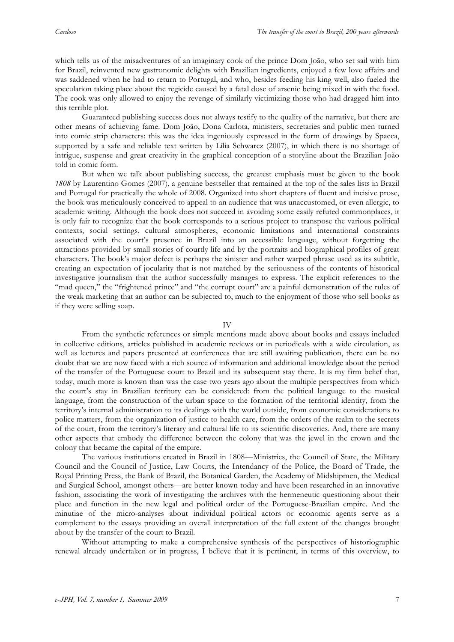which tells us of the misadventures of an imaginary cook of the prince Dom João, who set sail with him for Brazil, reinvented new gastronomic delights with Brazilian ingredients, enjoyed a few love affairs and was saddened when he had to return to Portugal, and who, besides feeding his king well, also fueled the speculation taking place about the regicide caused by a fatal dose of arsenic being mixed in with the food. The cook was only allowed to enjoy the revenge of similarly victimizing those who had dragged him into this terrible plot.

Guaranteed publishing success does not always testify to the quality of the narrative, but there are other means of achieving fame. Dom João, Dona Carlota, ministers, secretaries and public men turned into comic strip characters: this was the idea ingeniously expressed in the form of drawings by Spacca, supported by a safe and reliable text written by Lília Schwarcz (2007), in which there is no shortage of intrigue, suspense and great creativity in the graphical conception of a storyline about the Brazilian João told in comic form.

But when we talk about publishing success, the greatest emphasis must be given to the book *1808* by Laurentino Gomes (2007), a genuine bestseller that remained at the top of the sales lists in Brazil and Portugal for practically the whole of 2008. Organized into short chapters of fluent and incisive prose, the book was meticulously conceived to appeal to an audience that was unaccustomed, or even allergic, to academic writing. Although the book does not succeed in avoiding some easily refuted commonplaces, it is only fair to recognize that the book corresponds to a serious project to transpose the various political contexts, social settings, cultural atmospheres, economic limitations and international constraints associated with the court's presence in Brazil into an accessible language, without forgetting the attractions provided by small stories of courtly life and by the portraits and biographical profiles of great characters. The book's major defect is perhaps the sinister and rather warped phrase used as its subtitle, creating an expectation of jocularity that is not matched by the seriousness of the contents of historical investigative journalism that the author successfully manages to express. The explicit references to the "mad queen," the "frightened prince" and "the corrupt court" are a painful demonstration of the rules of the weak marketing that an author can be subjected to, much to the enjoyment of those who sell books as if they were selling soap.

IV

From the synthetic references or simple mentions made above about books and essays included in collective editions, articles published in academic reviews or in periodicals with a wide circulation, as well as lectures and papers presented at conferences that are still awaiting publication, there can be no doubt that we are now faced with a rich source of information and additional knowledge about the period of the transfer of the Portuguese court to Brazil and its subsequent stay there. It is my firm belief that, today, much more is known than was the case two years ago about the multiple perspectives from which the court's stay in Brazilian territory can be considered: from the political language to the musical language, from the construction of the urban space to the formation of the territorial identity, from the territory's internal administration to its dealings with the world outside, from economic considerations to police matters, from the organization of justice to health care, from the orders of the realm to the secrets of the court, from the territory's literary and cultural life to its scientific discoveries. And, there are many other aspects that embody the difference between the colony that was the jewel in the crown and the colony that became the capital of the empire.

The various institutions created in Brazil in 1808—Ministries, the Council of State, the Military Council and the Council of Justice, Law Courts, the Intendancy of the Police, the Board of Trade, the Royal Printing Press, the Bank of Brazil, the Botanical Garden, the Academy of Midshipmen, the Medical and Surgical School, amongst others—are better known today and have been researched in an innovative fashion, associating the work of investigating the archives with the hermeneutic questioning about their place and function in the new legal and political order of the Portuguese-Brazilian empire. And the minutiae of the micro-analyses about individual political actors or economic agents serve as a complement to the essays providing an overall interpretation of the full extent of the changes brought about by the transfer of the court to Brazil.

Without attempting to make a comprehensive synthesis of the perspectives of historiographic renewal already undertaken or in progress, I believe that it is pertinent, in terms of this overview, to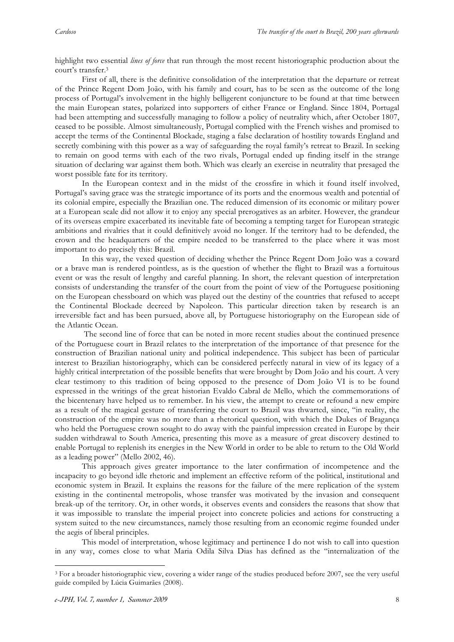highlight two essential *lines of force* that run through the most recent historiographic production about the court's transfer.3

First of all, there is the definitive consolidation of the interpretation that the departure or retreat of the Prince Regent Dom João, with his family and court, has to be seen as the outcome of the long process of Portugal's involvement in the highly belligerent conjuncture to be found at that time between the main European states, polarized into supporters of either France or England. Since 1804, Portugal had been attempting and successfully managing to follow a policy of neutrality which, after October 1807, ceased to be possible. Almost simultaneously, Portugal complied with the French wishes and promised to accept the terms of the Continental Blockade, staging a false declaration of hostility towards England and secretly combining with this power as a way of safeguarding the royal family's retreat to Brazil. In seeking to remain on good terms with each of the two rivals, Portugal ended up finding itself in the strange situation of declaring war against them both. Which was clearly an exercise in neutrality that presaged the worst possible fate for its territory.

In the European context and in the midst of the crossfire in which it found itself involved, Portugal's saving grace was the strategic importance of its ports and the enormous wealth and potential of its colonial empire, especially the Brazilian one. The reduced dimension of its economic or military power at a European scale did not allow it to enjoy any special prerogatives as an arbiter. However, the grandeur of its overseas empire exacerbated its inevitable fate of becoming a tempting target for European strategic ambitions and rivalries that it could definitively avoid no longer. If the territory had to be defended, the crown and the headquarters of the empire needed to be transferred to the place where it was most important to do precisely this: Brazil.

In this way, the vexed question of deciding whether the Prince Regent Dom João was a coward or a brave man is rendered pointless, as is the question of whether the flight to Brazil was a fortuitous event or was the result of lengthy and careful planning. In short, the relevant question of interpretation consists of understanding the transfer of the court from the point of view of the Portuguese positioning on the European chessboard on which was played out the destiny of the countries that refused to accept the Continental Blockade decreed by Napoleon. This particular direction taken by research is an irreversible fact and has been pursued, above all, by Portuguese historiography on the European side of the Atlantic Ocean.

 The second line of force that can be noted in more recent studies about the continued presence of the Portuguese court in Brazil relates to the interpretation of the importance of that presence for the construction of Brazilian national unity and political independence. This subject has been of particular interest to Brazilian historiography, which can be considered perfectly natural in view of its legacy of a highly critical interpretation of the possible benefits that were brought by Dom João and his court. A very clear testimony to this tradition of being opposed to the presence of Dom João VI is to be found expressed in the writings of the great historian Evaldo Cabral de Mello, which the commemorations of the bicentenary have helped us to remember. In his view, the attempt to create or refound a new empire as a result of the magical gesture of transferring the court to Brazil was thwarted, since, "in reality, the construction of the empire was no more than a rhetorical question, with which the Dukes of Bragança who held the Portuguese crown sought to do away with the painful impression created in Europe by their sudden withdrawal to South America, presenting this move as a measure of great discovery destined to enable Portugal to replenish its energies in the New World in order to be able to return to the Old World as a leading power" (Mello 2002, 46).

This approach gives greater importance to the later confirmation of incompetence and the incapacity to go beyond idle rhetoric and implement an effective reform of the political, institutional and economic system in Brazil. It explains the reasons for the failure of the mere replication of the system existing in the continental metropolis, whose transfer was motivated by the invasion and consequent break-up of the territory. Or, in other words, it observes events and considers the reasons that show that it was impossible to translate the imperial project into concrete policies and actions for constructing a system suited to the new circumstances, namely those resulting from an economic regime founded under the aegis of liberal principles.

This model of interpretation, whose legitimacy and pertinence I do not wish to call into question in any way, comes close to what Maria Odila Silva Dias has defined as the "internalization of the

 $\overline{a}$ 

<sup>3</sup> For a broader historiographic view, covering a wider range of the studies produced before 2007, see the very useful guide compiled by Lúcia Guimarães (2008).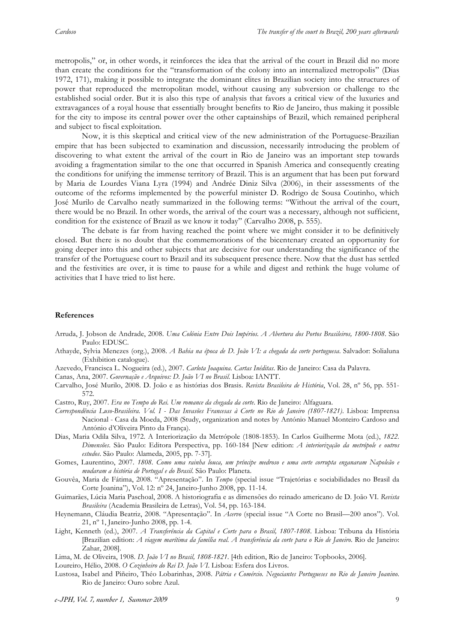metropolis," or, in other words, it reinforces the idea that the arrival of the court in Brazil did no more than create the conditions for the "transformation of the colony into an internalized metropolis" (Dias 1972, 171), making it possible to integrate the dominant elites in Brazilian society into the structures of power that reproduced the metropolitan model, without causing any subversion or challenge to the established social order. But it is also this type of analysis that favors a critical view of the luxuries and extravagances of a royal house that essentially brought benefits to Rio de Janeiro, thus making it possible for the city to impose its central power over the other captainships of Brazil, which remained peripheral and subject to fiscal exploitation.

Now, it is this skeptical and critical view of the new administration of the Portuguese-Brazilian empire that has been subjected to examination and discussion, necessarily introducing the problem of discovering to what extent the arrival of the court in Rio de Janeiro was an important step towards avoiding a fragmentation similar to the one that occurred in Spanish America and consequently creating the conditions for unifying the immense territory of Brazil. This is an argument that has been put forward by Maria de Lourdes Viana Lyra (1994) and Andrée Diniz Silva (2006), in their assessments of the outcome of the reforms implemented by the powerful minister D. Rodrigo de Sousa Coutinho, which José Murilo de Carvalho neatly summarized in the following terms: "Without the arrival of the court, there would be no Brazil. In other words, the arrival of the court was a necessary, although not sufficient, condition for the existence of Brazil as we know it today" (Carvalho 2008, p. 555).

The debate is far from having reached the point where we might consider it to be definitively closed. But there is no doubt that the commemorations of the bicentenary created an opportunity for going deeper into this and other subjects that are decisive for our understanding the significance of the transfer of the Portuguese court to Brazil and its subsequent presence there. Now that the dust has settled and the festivities are over, it is time to pause for a while and digest and rethink the huge volume of activities that I have tried to list here.

### **References**

- Arruda, J. Jobson de Andrade, 2008. *Uma Colónia Entre Dois Impérios. A Abertura dos Portos Brasileiros, 1800-1808*. São Paulo: EDUSC.
- Athayde, Sylvia Menezes (org.), 2008. *A Bahia na época de D. João VI: a chegada da corte portuguesa*. Salvador: Solialuna (Exhibition catalogue).
- Azevedo, Francisca L. Nogueira (ed.), 2007. *Carlota Joaquina. Cartas Inéditas*. Rio de Janeiro: Casa da Palavra.

Canas, Ana, 2007. *Governação e Arquivos: D. João VI no Brasil*. Lisboa: IANTT.

- Carvalho, José Murilo, 2008. D. João e as histórias dos Brasis. *Revista Brasileira de História*, Vol. 28, nº 56, pp. 551- 572.
- Castro, Ruy, 2007. *Era no Tempo do Rei. Um romance da chegada da corte*. Rio de Janeiro: Alfaguara.
- *Correspondência Luso-Brasileira. Vol. I Das Invasões Francesas à Corte no Rio de Janeiro (1807-1821)*. Lisboa: Imprensa Nacional - Casa da Moeda, 2008 (Study, organization and notes by António Manuel Monteiro Cardoso and António d'Oliveira Pinto da França).
- Dias, Maria Odila Silva, 1972. A Interiorização da Metrópole (1808-1853). In Carlos Guilherme Mota (ed.), *1822. Dimensões*. São Paulo: Editora Perspectiva, pp. 160-184 [New edition: *A interiorização da metrópole e outros estudos*. São Paulo: Alameda, 2005, pp. 7-37].
- Gomes, Laurentino, 2007. *1808. Como uma rainha louca, um príncipe medroso e uma corte corrupta enganaram Napoleão e mudaram a história de Portugal e do Brasil*. São Paulo: Planeta.
- Gouvêa, Maria de Fátima, 2008. "Apresentação". In *Tempo* (special issue "Trajetórias e sociabilidades no Brasil da Corte Joanina"), Vol. 12: nº 24, Janeiro-Junho 2008, pp. 11-14.
- Guimarães, Lúcia Maria Paschoal, 2008. A historiografia e as dimensões do reinado americano de D. João VI. *Revista Brasileira* (Academia Brasileira de Letras), Vol. 54, pp. 163-184.
- Heynemann, Cláudia Beatriz, 2008. "Apresentação". In *Acervo* (special issue "A Corte no Brasil—200 anos"). Vol. 21, nº 1, Janeiro-Junho 2008, pp. 1-4.
- Light, Kenneth (ed.), 2007. *A Transferência da Capital e Corte para o Brasil, 1807-1808*. Lisboa: Tribuna da História [Brazilian edition: *A viagem marítima da família real. A transferência da corte para o Rio de Janeiro*. Rio de Janeiro: Zahar, 2008].
- Lima, M. de Oliveira, 1908. *D. João VI no Brasil, 1808-1821*. [4th edition, Rio de Janeiro: Topbooks, 2006].
- Loureiro, Hélio, 2008. *O Cozinheiro do Rei D. João VI*. Lisboa: Esfera dos Livros.
- Lustosa, Isabel and Piñeiro, Théo Lobarinhas, 2008. *Pátria e Comércio. Negociantes Portugueses no Rio de Janeiro Joanino*. Rio de Janeiro: Ouro sobre Azul.